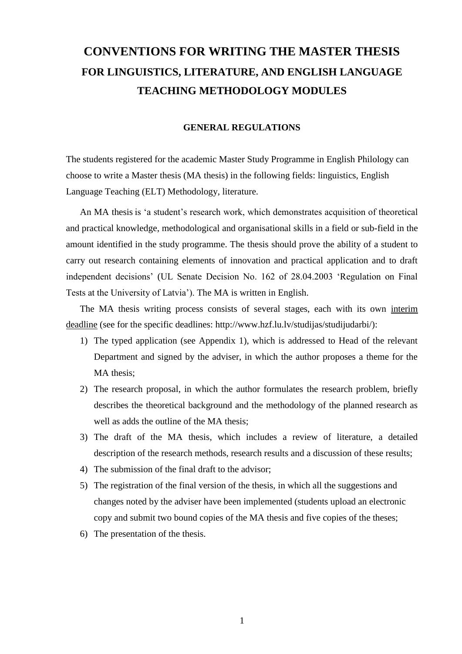# **CONVENTIONS FOR WRITING THE MASTER THESIS FOR LINGUISTICS, LITERATURE, AND ENGLISH LANGUAGE TEACHING METHODOLOGY MODULES**

#### **GENERAL REGULATIONS**

The students registered for the academic Master Study Programme in English Philology can choose to write a Master thesis (MA thesis) in the following fields: linguistics, English Language Teaching (ELT) Methodology, literature.

An MA thesis is 'a student's research work, which demonstrates acquisition of theoretical and practical knowledge, methodological and organisational skills in a field or sub-field in the amount identified in the study programme. The thesis should prove the ability of a student to carry out research containing elements of innovation and practical application and to draft independent decisions' (UL Senate Decision No. 162 of 28.04.2003 'Regulation on Final Tests at the University of Latvia'). The MA is written in English.

The MA thesis writing process consists of several stages, each with its own interim deadline (see for the specific deadlines: http://www.hzf.lu.lv/studijas/studijudarbi/):

- 1) The typed application (see Appendix 1), which is addressed to Head of the relevant Department and signed by the adviser, in which the author proposes a theme for the MA thesis;
- 2) The research proposal, in which the author formulates the research problem, briefly describes the theoretical background and the methodology of the planned research as well as adds the outline of the MA thesis;
- 3) The draft of the MA thesis, which includes a review of literature, a detailed description of the research methods, research results and a discussion of these results;
- 4) The submission of the final draft to the advisor;
- 5) The registration of the final version of the thesis, in which all the suggestions and changes noted by the adviser have been implemented (students upload an electronic copy and submit two bound copies of the MA thesis and five copies of the theses;
- 6) The presentation of the thesis.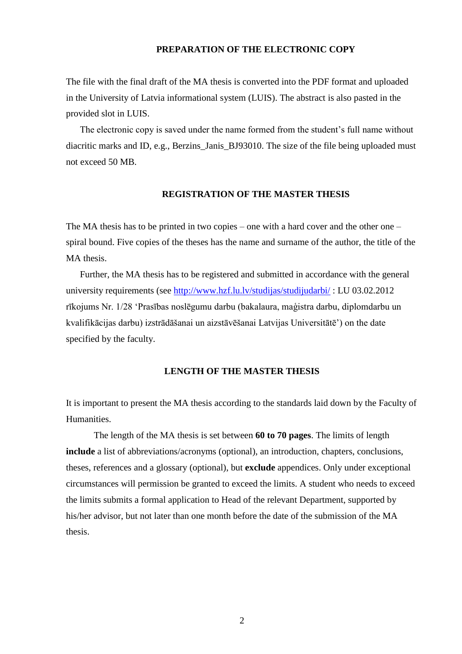#### **PREPARATION OF THE ELECTRONIC COPY**

The file with the final draft of the MA thesis is converted into the PDF format and uploaded in the University of Latvia informational system (LUIS). The abstract is also pasted in the provided slot in LUIS.

The electronic copy is saved under the name formed from the student's full name without diacritic marks and ID, e.g., Berzins Janis BJ93010. The size of the file being uploaded must not exceed 50 MB.

#### **REGISTRATION OF THE MASTER THESIS**

The MA thesis has to be printed in two copies – one with a hard cover and the other one – spiral bound. Five copies of the theses has the name and surname of the author, the title of the MA thesis.

Further, the МA thesis has to be registered and submitted in accordance with the general university requirements (see<http://www.hzf.lu.lv/studijas/studijudarbi/> : LU 03.02.2012 rīkojums Nr. 1/28 'Prasības noslēgumu darbu (bakalaura, maģistra darbu, diplomdarbu un kvalifikācijas darbu) izstrādāšanai un aizstāvēšanai Latvijas Universitātē') on the date specified by the faculty.

#### **LENGTH OF THE MASTER THESIS**

It is important to present the MA thesis according to the standards laid down by the Faculty of Humanities.

The length of the МА thesis is set between **60 to 70 pages**. The limits of length **include** a list of abbreviations/acronyms (optional), an introduction, chapters, conclusions, theses, references and a glossary (optional), but **exclude** appendices. Only under exceptional circumstances will permission be granted to exceed the limits. A student who needs to exceed the limits submits a formal application to Head of the relevant Department, supported by his/her advisor, but not later than one month before the date of the submission of the MA thesis.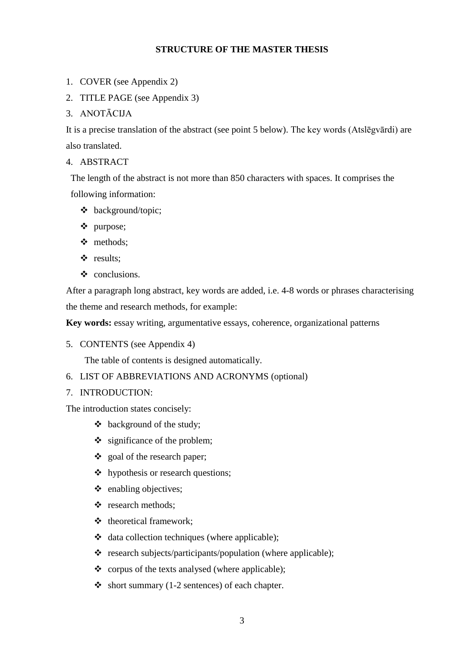#### **STRUCTURE OF THE MASTER THESIS**

- 1. COVER (see Appendix 2)
- 2. TITLE PAGE (see Appendix 3)
- 3. ANOTĀCIJA

It is a precise translation of the abstract (see point 5 below). The key words (Atslēgvārdi) are also translated.

4. ABSTRACT

The length of the abstract is not more than 850 characters with spaces. It comprises the following information:

- background/topic;
- purpose;
- methods;
- results;
- ❖ conclusions.

After a paragraph long abstract, key words are added, i.e. 4-8 words or phrases characterising the theme and research methods, for example:

**Key words:** essay writing, argumentative essays, coherence, organizational patterns

5. CONTENTS (see Appendix 4)

The table of contents is designed automatically.

- 6. LIST OF ABBREVIATIONS AND ACRONYMS (optional)
- 7. INTRODUCTION:

The introduction states concisely:

- $\triangleleft$  background of the study;
- $\div$  significance of the problem;
- goal of the research paper;
- hypothesis or research questions;
- $\triangleleft$  enabling objectives;
- research methods;
- ❖ theoretical framework;
- data collection techniques (where applicable);
- $\triangleq$  research subjects/participants/population (where applicable);
- corpus of the texts analysed (where applicable);
- $\bullet$  short summary (1-2 sentences) of each chapter.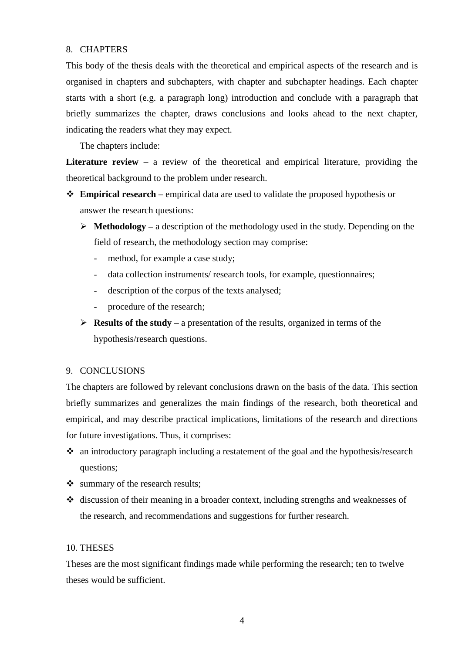#### 8. CHAPTERS

This body of the thesis deals with the theoretical and empirical aspects of the research and is organised in chapters and subchapters, with chapter and subchapter headings. Each chapter starts with a short (e.g. a paragraph long) introduction and conclude with a paragraph that briefly summarizes the chapter, draws conclusions and looks ahead to the next chapter, indicating the readers what they may expect.

The chapters include:

Literature review – a review of the theoretical and empirical literature, providing the theoretical background to the problem under research.

- **Empirical research –** empirical data are used to validate the proposed hypothesis or answer the research questions:
	- $\triangleright$  **Methodology** a description of the methodology used in the study. Depending on the field of research, the methodology section may comprise:
		- method, for example a case study;
		- data collection instruments/ research tools, for example, questionnaires;
		- description of the corpus of the texts analysed;
		- procedure of the research;
	- **Results of the study –** a presentation of the results, organized in terms of the hypothesis/research questions.

#### 9. CONCLUSIONS

The chapters are followed by relevant conclusions drawn on the basis of the data. This section briefly summarizes and generalizes the main findings of the research, both theoretical and empirical, and may describe practical implications, limitations of the research and directions for future investigations. Thus, it comprises:

- an introductory paragraph including a restatement of the goal and the hypothesis/research questions;
- Summary of the research results;
- discussion of their meaning in a broader context, including strengths and weaknesses of the research, and recommendations and suggestions for further research.

#### 10. THESES

Theses are the most significant findings made while performing the research; ten to twelve theses would be sufficient.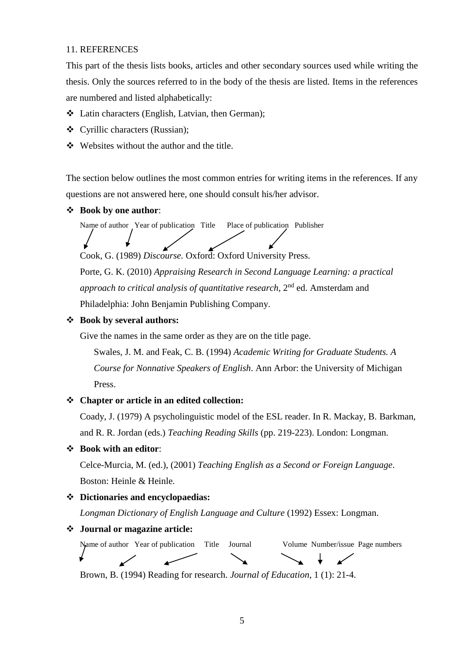#### 11. REFERENCES

This part of the thesis lists books, articles and other secondary sources used while writing the thesis. Only the sources referred to in the body of the thesis are listed. Items in the references are numbered and listed alphabetically:

- Latin characters (English, Latvian, then German);
- Cyrillic characters (Russian);
- Websites without the author and the title.

The section below outlines the most common entries for writing items in the references. If any questions are not answered here, one should consult his/her advisor.

**Book by one author**:

Name of author Year of publication Title Place of publication Publisher

Cook, G. (1989) *Discourse.* Oxford: Oxford University Press.

Porte, G. K. (2010) *Appraising Research in Second Language Learning: a practical approach to critical analysis of quantitative research*, 2nd ed. Amsterdam and Philadelphia: John Benjamin Publishing Company.

#### **Book by several authors:**

Give the names in the same order as they are on the title page.

Swales, J. M. and Feak, C. B. (1994) *Academic Writing for Graduate Students. A Course for Nonnative Speakers of English*. Ann Arbor: the University of Michigan Press.

#### **Chapter or article in an edited collection:**

Coady, J. (1979) A psycholinguistic model of the ESL reader. In R. Mackay, B. Barkman, and R. R. Jordan (eds.) *Teaching Reading Skills* (pp. 219-223). London: Longman.

#### **Book with an editor**:

Celce-Murcia, M. (ed.), (2001) *Teaching English as a Second or Foreign Language*. Boston: Heinle & Heinle.

#### **Dictionaries and encyclopaedias:**

*Longman Dictionary of English Language and Culture* (1992) Essex: Longman.

#### **Journal or magazine article:**

Name of author Year of publication Title Journal Volume Number/issue Page numbers

Brown, B. (1994) Reading for research. *Journal of Education*, 1 (1): 21-4.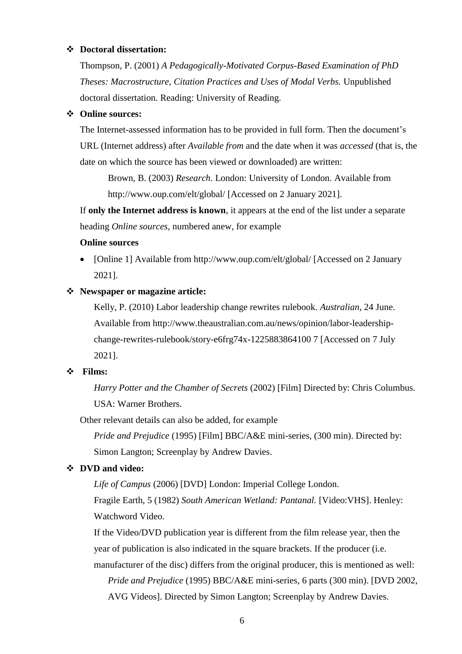#### **Doctoral dissertation:**

Thompson, P. (2001) *A Pedagogically-Motivated Corpus-Based Examination of PhD Theses: Macrostructure, Citation Practices and Uses of Modal Verbs.* Unpublished doctoral dissertation. Reading: University of Reading.

#### **Online sources:**

The Internet-assessed information has to be provided in full form. Then the document's URL (Internet address) after *Available from* and the date when it was *accessed* (that is, the date on which the source has been viewed or downloaded) are written:

Brown, B. (2003) *Research*. London: University of London. Available from <http://www.oup.com/elt/global/> [Accessed on 2 January 2021].

If **only the Internet address is known**, it appears at the end of the list under a separate heading *Online sources,* numbered anew, for example

#### **Online sources**

• [Online 1] Available from<http://www.oup.com/elt/global/> [Accessed on 2 January 2021].

#### **Newspaper or magazine article:**

Kelly, P. (2010) Labor leadership change rewrites rulebook. *Australian*, 24 June. Available from http://www.theaustralian.com.au/news/opinion/labor-leadershipchange-rewrites-rulebook/story-e6frg74x-1225883864100 7 [Accessed on 7 July 2021].

#### **Films:**

*Harry Potter and the Chamber of Secrets* (2002) [Film] Directed by: Chris Columbus. USA: Warner Brothers.

Other relevant details can also be added, for example

*Pride and Prejudice* (1995) [Film] BBC/A&E mini-series, (300 min). Directed by: Simon Langton; Screenplay by Andrew Davies.

#### **DVD and video:**

*Life of Campus* (2006) [DVD] London: Imperial College London.

Fragile Earth, 5 (1982) *South American Wetland: Pantanal.* [Video:VHS]. Henley: Watchword Video.

If the Video/DVD publication year is different from the film release year, then the year of publication is also indicated in the square brackets. If the producer (i.e. manufacturer of the disc) differs from the original producer, this is mentioned as well: *Pride and Prejudice* (1995) BBC/A&E mini-series, 6 parts (300 min). [DVD 2002,

AVG Videos]. Directed by Simon Langton; Screenplay by Andrew Davies.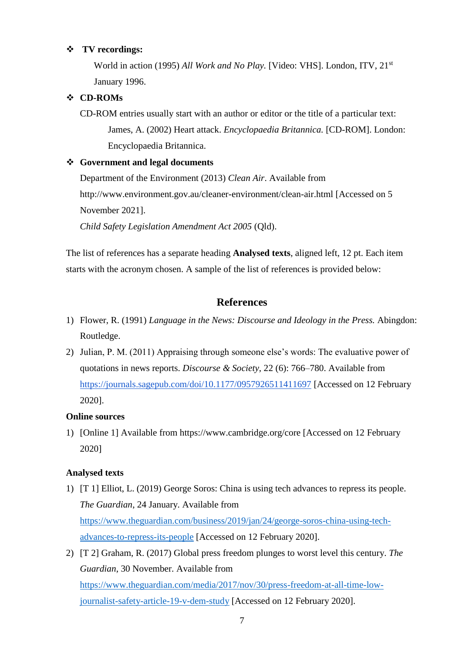#### **TV recordings:**

World in action (1995) *All Work and No Play.* [Video: VHS]. London, ITV, 21<sup>st</sup> January 1996.

#### **CD-ROMs**

CD-ROM entries usually start with an author or editor or the title of a particular text: James, A. (2002) Heart attack. *Encyclopaedia Britannica.* [CD-ROM]. London: Encyclopaedia Britannica.

#### **Government and legal documents**

Department of the Environment (2013) *Clean Air*. Available from http://www.environment.gov.au/cleaner-environment/clean-air.html [Accessed on 5 November 2021].

*Child Safety Legislation Amendment Act 2005* (Qld).

The list of references has a separate heading **Analysed texts**, aligned left, 12 pt. Each item starts with the acronym chosen. A sample of the list of references is provided below:

#### **References**

- 1) Flower, R. (1991) *Language in the News: Discourse and Ideology in the Press.* Abingdon: Routledge.
- 2) Julian, P. M. (2011) Appraising through someone else's words: The evaluative power of quotations in news reports. *Discourse & Society,* 22 (6): 766–780. Available from <https://journals.sagepub.com/doi/10.1177/0957926511411697> [Accessed on 12 February 2020].

#### **Online sources**

1) [Online 1] Available from https://www.cambridge.org/core [Accessed on 12 February 2020]

#### **Analysed texts**

- 1) [T 1] Elliot, L. (2019) George Soros: China is using tech advances to repress its people. *The Guardian*, 24 January. Available from [https://www.theguardian.com/business/2019/jan/24/george-soros-china-using-tech](https://www.theguardian.com/business/2019/jan/24/george-soros-china-using-tech-advances-to-repress-its-people)[advances-to-repress-its-people](https://www.theguardian.com/business/2019/jan/24/george-soros-china-using-tech-advances-to-repress-its-people) [Accessed on 12 February 2020].
- 2) [T 2] Graham, R. (2017) Global press freedom plunges to worst level this century. *The Guardian*, 30 November. Available from [https://www.theguardian.com/media/2017/nov/30/press-freedom-at-all-time-low](https://www.theguardian.com/media/2017/nov/30/press-freedom-at-all-time-low-journalist-safety-article-19-v-dem-study)[journalist-safety-article-19-v-dem-study](https://www.theguardian.com/media/2017/nov/30/press-freedom-at-all-time-low-journalist-safety-article-19-v-dem-study) [Accessed on 12 February 2020].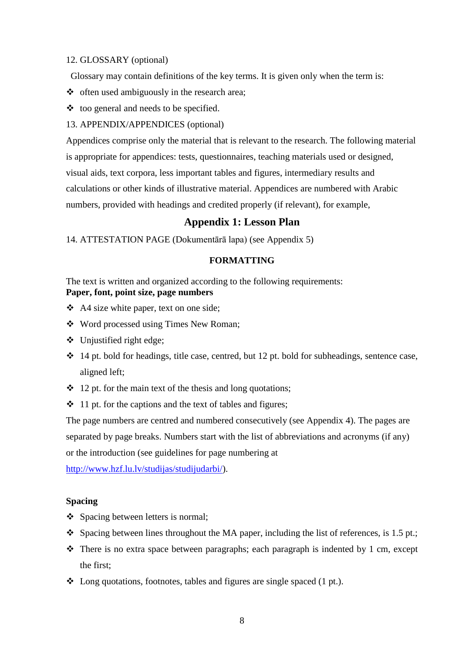#### 12. GLOSSARY (optional)

Glossary may contain definitions of the key terms. It is given only when the term is:

- $\triangleleft$  often used ambiguously in the research area;
- $\triangleleft$  too general and needs to be specified.

#### 13. APPENDIX/APPENDICES (optional)

Appendices comprise only the material that is relevant to the research. The following material is appropriate for appendices: tests, questionnaires, teaching materials used or designed, visual aids, text corpora, less important tables and figures, intermediary results and calculations or other kinds of illustrative material. Appendices are numbered with Arabic numbers, provided with headings and credited properly (if relevant), for example,

#### **Appendix 1: Lesson Plan**

14. ATTESTATION PAGE (Dokumentārā lapa) (see Appendix 5)

#### **FORMATTING**

The text is written and organized according to the following requirements: **Paper, font, point size, page numbers**

- A4 size white paper, text on one side;
- Word processed using Times New Roman;
- $\div$  Unjustified right edge;
- $\cdot$  14 pt. bold for headings, title case, centred, but 12 pt. bold for subheadings, sentence case, aligned left;
- $\div$  12 pt. for the main text of the thesis and long quotations;
- $\div$  11 pt. for the captions and the text of tables and figures;

The page numbers are centred and numbered consecutively (see Appendix 4). The pages are separated by page breaks. Numbers start with the list of abbreviations and acronyms (if any) or the introduction (see guidelines for page numbering at

[http://www.hzf.lu.lv/studijas/studijudarbi/\)](http://www.hzf.lu.lv/studijas/studijudarbi/).

#### **Spacing**

- ❖ Spacing between letters is normal;
- Spacing between lines throughout the MA paper, including the list of references, is 1.5 pt.;
- $\triangle$  There is no extra space between paragraphs; each paragraph is indented by 1 cm, except the first;
- $\triangleleft$  Long quotations, footnotes, tables and figures are single spaced (1 pt.).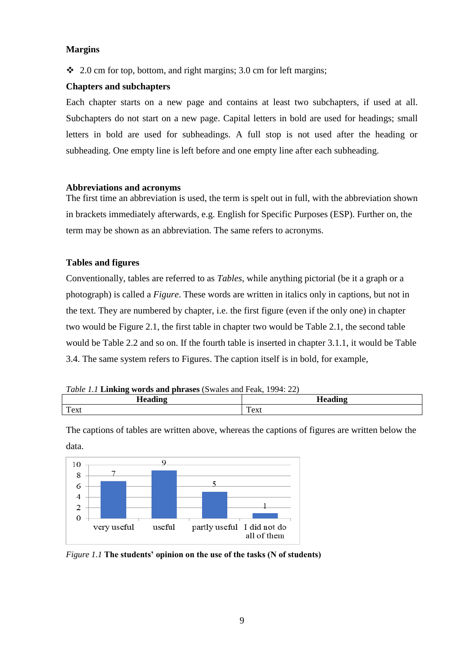#### **Margins**

 $\div$  2.0 cm for top, bottom, and right margins; 3.0 cm for left margins;

#### **Chapters and subchapters**

Each chapter starts on a new page and contains at least two subchapters, if used at all. Subchapters do not start on a new page. Capital letters in bold are used for headings; small letters in bold are used for subheadings. A full stop is not used after the heading or subheading. One empty line is left before and one empty line after each subheading.

#### **Abbreviations and acronyms**

The first time an abbreviation is used, the term is spelt out in full, with the abbreviation shown in brackets immediately afterwards, e.g. English for Specific Purposes (ESP). Further on, the term may be shown as an abbreviation. The same refers to acronyms.

#### **Tables and figures**

Conventionally, tables are referred to as *Tables*, while anything pictorial (be it a graph or a photograph) is called a *Figure*. These words are written in italics only in captions, but not in the text. They are numbered by chapter, i.e. the first figure (even if the only one) in chapter two would be Figure 2.1, the first table in chapter two would be Table 2.1, the second table would be Table 2.2 and so on. If the fourth table is inserted in chapter 3.1.1, it would be Table 3.4. The same system refers to Figures. The caption itself is in bold, for example,

| <i>Table 1.1</i> Linking words and phrases (Swales and Feak, 1994: 22) |  |
|------------------------------------------------------------------------|--|
|------------------------------------------------------------------------|--|

| $10000$ is <b>Examined</b> with the planet $(0, 0, 0, 0, 0)$ and $(0, 0, 0, 0)$ |         |  |
|---------------------------------------------------------------------------------|---------|--|
| <b><i>Looding</i></b>                                                           | aeadinc |  |
| Text                                                                            | Text    |  |

The captions of tables are written above, whereas the captions of figures are written below the data.



*Figure 1.1* **The students' opinion on the use of the tasks (N of students)**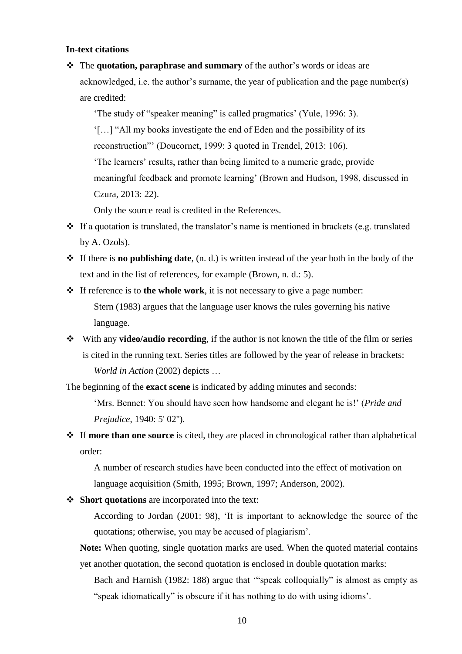#### **In-text citations**

 The **quotation, paraphrase and summary** of the author's words or ideas are acknowledged, i.e. the author's surname, the year of publication and the page number(s) are credited:

'The study of "speaker meaning" is called pragmatics' (Yule, 1996: 3).

'[…] "All my books investigate the end of Eden and the possibility of its reconstruction"' (Doucornet, 1999: 3 quoted in Trendel, 2013: 106). 'The learners' results, rather than being limited to a numeric grade, provide meaningful feedback and promote learning' (Brown and Hudson, 1998, discussed in Czura, 2013: 22).

Only the source read is credited in the References.

- $\triangle$  If a quotation is translated, the translator's name is mentioned in brackets (e.g. translated by A. Ozols).
- If there is **no publishing date**, (n. d.) is written instead of the year both in the body of the text and in the list of references, for example (Brown, n. d.: 5).
- If reference is to **the whole work**, it is not necessary to give a page number: Stern (1983) argues that the language user knows the rules governing his native language.
- With any **video/audio recording**, if the author is not known the title of the film or series is cited in the running text. Series titles are followed by the year of release in brackets: *World in Action* (2002) depicts …

The beginning of the **exact scene** is indicated by adding minutes and seconds:

'Mrs. Bennet: You should have seen how handsome and elegant he is!' (*Pride and Prejudice*, 1940: 5' 02'').

 If **more than one source** is cited, they are placed in chronological rather than alphabetical order:

A number of research studies have been conducted into the effect of motivation on language acquisition (Smith, 1995; Brown, 1997; Anderson, 2002).

**Short quotations** are incorporated into the text:

According to Jordan (2001: 98), 'It is important to acknowledge the source of the quotations; otherwise, you may be accused of plagiarism'.

**Note:** When quoting, single quotation marks are used. When the quoted material contains yet another quotation, the second quotation is enclosed in double quotation marks:

Bach and Harnish (1982: 188) argue that '"speak colloquially" is almost as empty as "speak idiomatically" is obscure if it has nothing to do with using idioms'.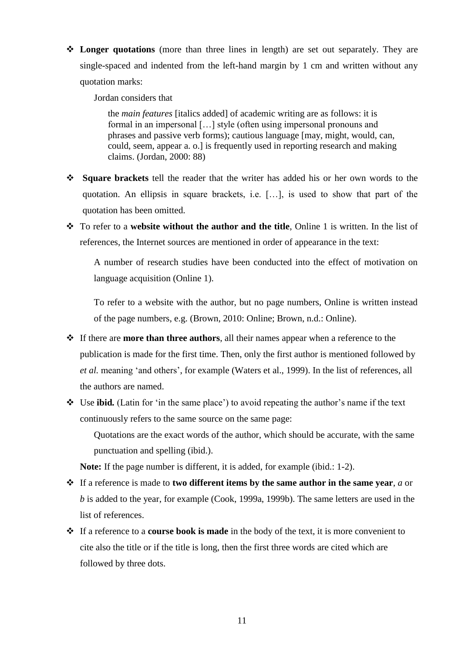**Longer quotations** (more than three lines in length) are set out separately. They are single-spaced and indented from the left-hand margin by 1 cm and written without any quotation marks:

Jordan considers that

the *main features* [italics added] of academic writing are as follows: it is formal in an impersonal […] style (often using impersonal pronouns and phrases and passive verb forms); cautious language [may, might, would, can, could, seem, appear a. o.] is frequently used in reporting research and making claims. (Jordan, 2000: 88)

- **Square brackets** tell the reader that the writer has added his or her own words to the quotation. An ellipsis in square brackets, i.e. […], is used to show that part of the quotation has been omitted.
- To refer to a **website without the author and the title**, Online 1 is written. In the list of references, the Internet sources are mentioned in order of appearance in the text:

A number of research studies have been conducted into the effect of motivation on language acquisition (Online 1).

To refer to a website with the author, but no page numbers, Online is written instead of the page numbers, e.g. (Brown, 2010: Online; Brown, n.d.: Online).

- If there are **more than three authors**, all their names appear when a reference to the publication is made for the first time. Then, only the first author is mentioned followed by *et al.* meaning 'and others', for example (Waters et al., 1999). In the list of references, all the authors are named.
- Use **ibid***.* (Latin for 'in the same place') to avoid repeating the author's name if the text continuously refers to the same source on the same page:

Quotations are the exact words of the author, which should be accurate, with the same punctuation and spelling (ibid.).

**Note:** If the page number is different, it is added, for example (ibid.: 1-2).

- If a reference is made to **two different items by the same author in the same year**, *a* or *b* is added to the year, for example (Cook, 1999a, 1999b). The same letters are used in the list of references.
- If a reference to a **course book is made** in the body of the text, it is more convenient to cite also the title or if the title is long, then the first three words are cited which are followed by three dots.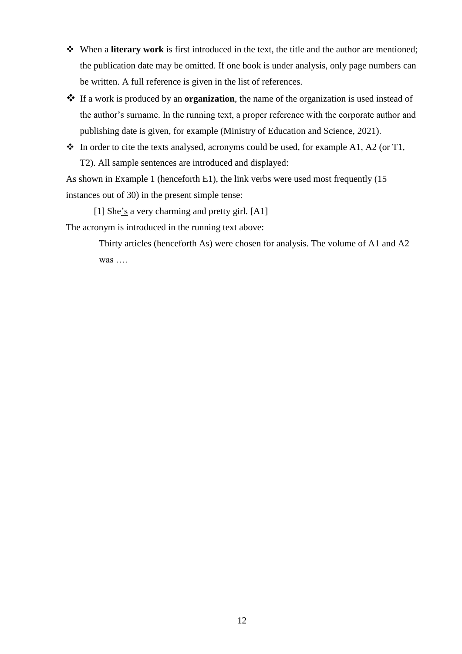- When a **literary work** is first introduced in the text, the title and the author are mentioned; the publication date may be omitted. If one book is under analysis, only page numbers can be written. A full reference is given in the list of references.
- If a work is produced by an **organization**, the name of the organization is used instead of the author's surname. In the running text, a proper reference with the corporate author and publishing date is given, for example (Ministry of Education and Science, 2021).
- $\cdot \cdot$  In order to cite the texts analysed, acronyms could be used, for example A1, A2 (or T1, T2). All sample sentences are introduced and displayed:

As shown in Example 1 (henceforth E1), the link verbs were used most frequently (15 instances out of 30) in the present simple tense:

[1] She's a very charming and pretty girl*.* [A1]

The acronym is introduced in the running text above:

Thirty articles (henceforth As) were chosen for analysis. The volume of A1 and A2 was ….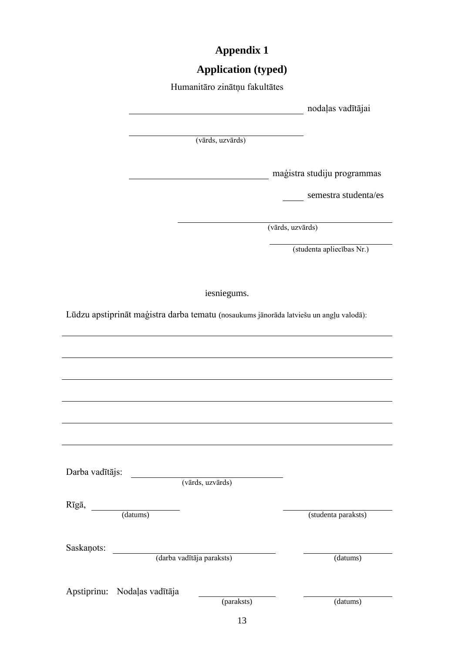# **Appendix 1**

# **Application (typed)**

| Humanitāro zinātņu fakultātes                                                          |                             |
|----------------------------------------------------------------------------------------|-----------------------------|
|                                                                                        | nodaļas vadītājai           |
|                                                                                        |                             |
| (vārds, uzvārds)                                                                       |                             |
|                                                                                        |                             |
|                                                                                        | maģistra studiju programmas |
|                                                                                        | semestra studenta/es        |
|                                                                                        | (vārds, uzvārds)            |
|                                                                                        | (studenta apliecības Nr.)   |
|                                                                                        |                             |
| iesniegums.                                                                            |                             |
| Lūdzu apstiprināt maģistra darba tematu (nosaukums jānorāda latviešu un angļu valodā): |                             |
|                                                                                        |                             |
|                                                                                        |                             |
|                                                                                        |                             |
|                                                                                        |                             |
|                                                                                        |                             |
|                                                                                        |                             |
|                                                                                        |                             |
| Darba vadītājs:                                                                        |                             |
| (vārds, uzvārds)                                                                       |                             |
| Rīgā,<br>(datums)                                                                      | (studenta paraksts)         |
|                                                                                        |                             |
| Saskaņots:                                                                             |                             |
| (darba vadītāja paraksts)                                                              | (datums)                    |
|                                                                                        |                             |
| Apstiprinu: Nodaļas vadītāja<br>(paraksts)                                             | (datums)                    |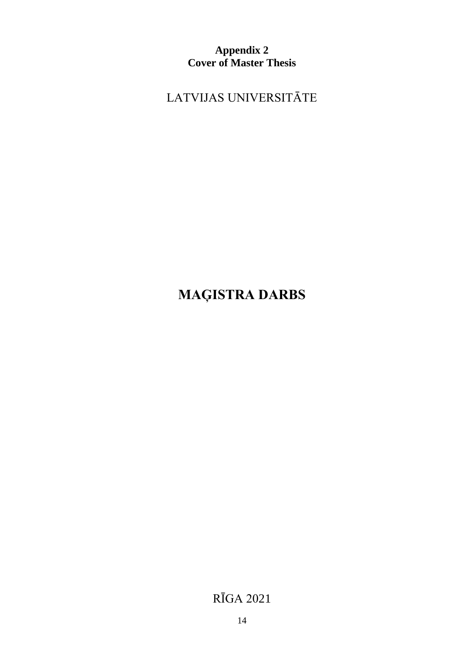**Appendix 2 Cover of Master Thesis**

LATVIJAS UNIVERSITĀTE

# **MAĢISTRA DARBS**

RĪGA 2021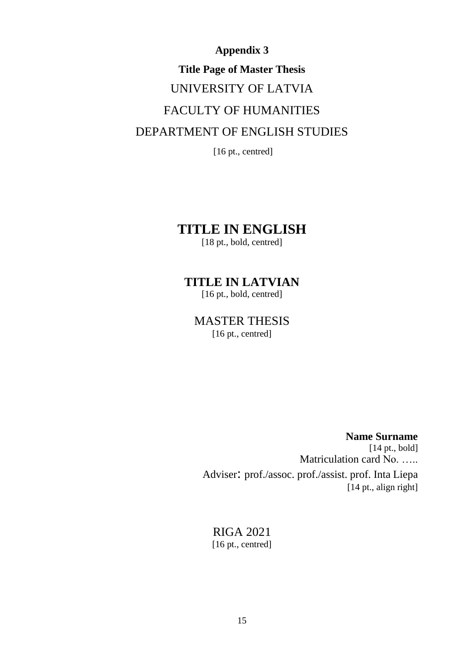# **Appendix 3 Title Page of Master Thesis** UNIVERSITY OF LATVIA FACULTY OF HUMANITIES DEPARTMENT OF ENGLISH STUDIES

[16 pt., centred]

## **TITLE IN ENGLISH**

[18 pt., bold, centred]

## **TITLE IN LATVIAN**

[16 pt., bold, centred]

# MASTER THESIS

[16 pt., centred]

**Name Surname** [14 pt., bold] Matriculation card No. ….. Adviser: prof./assoc. prof./assist. prof. Inta Liepa [14 pt., align right]

### RIGA 2021 [16 pt., centred]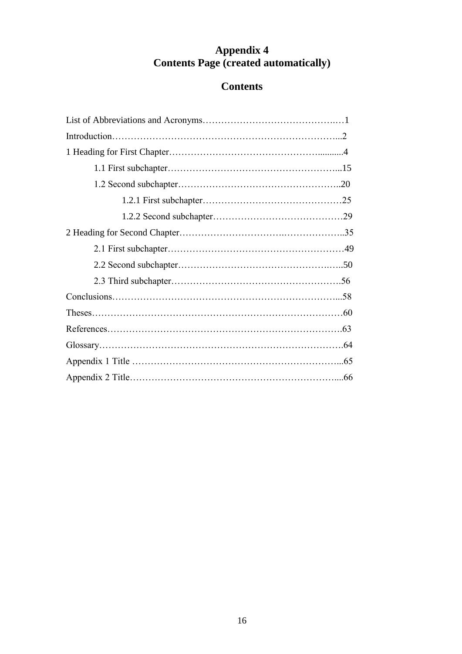## **Appendix 4 Contents Page (created automatically)**

## **Contents**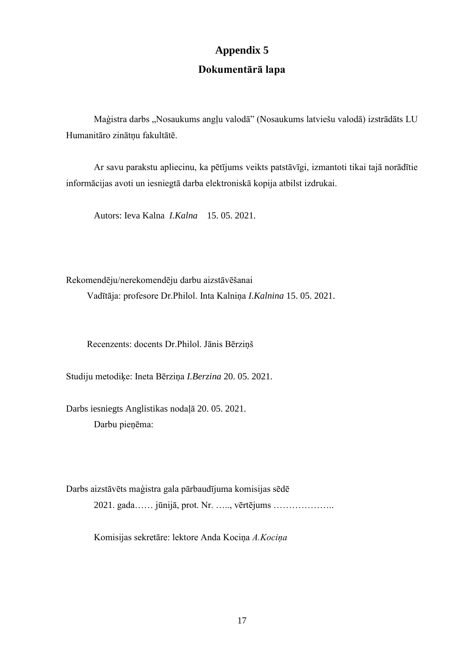# **Appendix 5 Dokumentārā lapa**

Maģistra darbs "Nosaukums angļu valodā" (Nosaukums latviešu valodā) izstrādāts LU Humanitāro zinātņu fakultātē.

Ar savu parakstu apliecinu, ka pētījums veikts patstāvīgi, izmantoti tikai tajā norādītie informācijas avoti un iesniegtā darba elektroniskā kopija atbilst izdrukai.

Autors: Ieva Kalna *I.Kalna* 15. 05. 2021.

Rekomendēju/nerekomendēju darbu aizstāvēšanai

Vadītāja: profesore Dr.Philol. Inta Kalniņa *I.Kalnina* 15. 05. 2021.

Recenzents: docents Dr.Philol. Jānis Bērziņš

Studiju metodiķe: Ineta Bērziņa *I.Berzina* 20. 05. 2021.

Darbs iesniegts Anglistikas nodaļā 20. 05. 2021. Darbu pieņēma:

Darbs aizstāvēts maģistra gala pārbaudījuma komisijas sēdē 2021. gada…… jūnijā, prot. Nr. ….., vērtējums ………………..

Komisijas sekretāre: lektore Anda Kociņa *A.Kociņa*